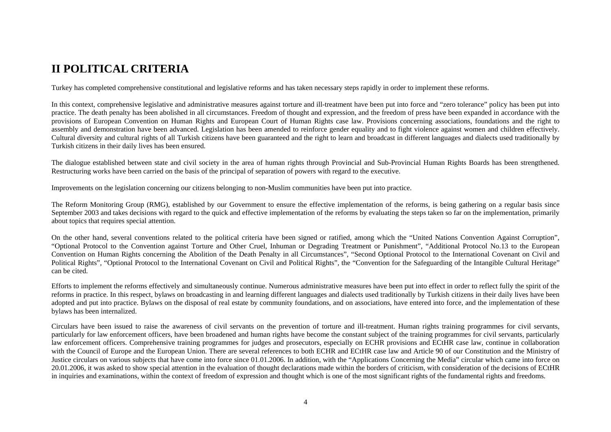# **II POLITICAL CRITERIA**

Turkey has completed comprehensive constitutional and legislative reforms and has taken necessary steps rapidly in order to implement these reforms.

In this context, comprehensive legislative and administrative measures against torture and ill-treatment have been put into force and "zero tolerance" policy has been put into practice. The death penalty has been abolished in all circumstances. Freedom of thought and expression, and the freedom of press have been expanded in accordance with the provisions of European Convention on Human Rights and European Court of Human Rights case law. Provisions concerning associations, foundations and the right to assembly and demonstration have been advanced. Legislation has been amended to reinforce gender equality and to fight violence against women and children effectively. Cultural diversity and cultural rights of all Turkish citizens have been guaranteed and the right to learn and broadcast in different languages and dialects used traditionally by Turkish citizens in their daily lives has been ensured.

The dialogue established between state and civil society in the area of human rights through Provincial and Sub-Provincial Human Rights Boards has been strengthened. Restructuring works have been carried on the basis of the principal of separation of powers with regard to the executive.

Improvements on the legislation concerning our citizens belonging to non-Muslim communities have been put into practice.

The Reform Monitoring Group (RMG), established by our Government to ensure the effective implementation of the reforms, is being gathering on a regular basis since September 2003 and takes decisions with regard to the quick and effective implementation of the reforms by evaluating the steps taken so far on the implementation, primarily about topics that requires special attention.

On the other hand, several conventions related to the political criteria have been signed or ratified, among which the "United Nations Convention Against Corruption", "Optional Protocol to the Convention against Torture and Other Cruel, Inhuman or Degrading Treatment or Punishment", "Additional Protocol No.13 to the European Convention on Human Rights concerning the Abolition of the Death Penalty in all Circumstances", "Second Optional Protocol to the International Covenant on Civil and Political Rights", "Optional Protocol to the International Covenant on Civil and Political Rights", the "Convention for the Safeguarding of the Intangible Cultural Heritage" can be cited.

Efforts to implement the reforms effectively and simultaneously continue. Numerous administrative measures have been put into effect in order to reflect fully the spirit of the reforms in practice. In this respect, bylaws on broadcasting in and learning different languages and dialects used traditionally by Turkish citizens in their daily lives have been adopted and put into practice. Bylaws on the disposal of real estate by community foundations, and on associations, have entered into force, and the implementation of these bylaws has been internalized.

Circulars have been issued to raise the awareness of civil servants on the prevention of torture and ill-treatment. Human rights training programmes for civil servants, particularly for law enforcement officers, have been broadened and human rights have become the constant subject of the training programmes for civil servants, particularly law enforcement officers. Comprehensive training programmes for judges and prosecutors, especially on ECHR provisions and ECtHR case law, continue in collaboration with the Council of Europe and the European Union. There are several references to both ECHR and ECtHR case law and Article 90 of our Constitution and the Ministry of Justice circulars on various subjects that have come into force since 01.01.2006. In addition, with the "Applications Concerning the Media" circular which came into force on 20.01.2006, it was asked to show special attention in the evaluation of thought declarations made within the borders of criticism, with consideration of the decisions of ECtHR in inquiries and examinations, within the context of freedom of expression and thought which is one of the most significant rights of the fundamental rights and freedoms.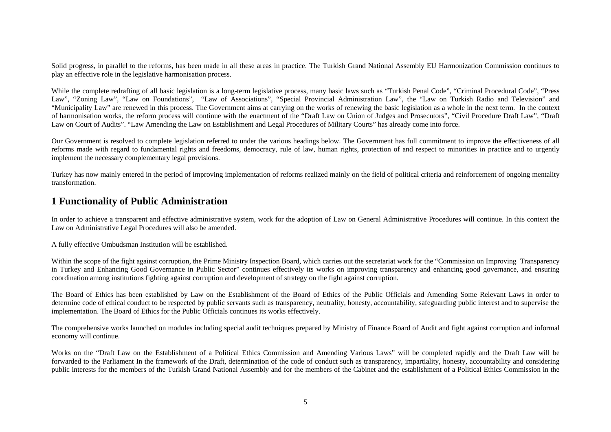Solid progress, in parallel to the reforms, has been made in all these areas in practice. The Turkish Grand National Assembly EU Harmonization Commission continues to play an effective role in the legislative harmonisation process.

While the complete redrafting of all basic legislation is a long-term legislative process, many basic laws such as "Turkish Penal Code", "Criminal Procedural Code", "Press Law", "Zoning Law", "Law on Foundations", "Law of Associations", "Special Provincial Administration Law", the "Law on Turkish Radio and Television" and "Municipality Law" are renewed in this process. The Government aims at carrying on the works of renewing the basic legislation as a whole in the next term. In the context of harmonisation works, the reform process will continue with the enactment of the "Draft Law on Union of Judges and Prosecutors", "Civil Procedure Draft Law", "Draft Law on Court of Audits". "Law Amending the Law on Establishment and Legal Procedures of Military Courts" has already come into force.

Our Government is resolved to complete legislation referred to under the various headings below. The Government has full commitment to improve the effectiveness of all reforms made with regard to fundamental rights and freedoms, democracy, rule of law, human rights, protection of and respect to minorities in practice and to urgently implement the necessary complementary legal provisions.

Turkey has now mainly entered in the period of improving implementation of reforms realized mainly on the field of political criteria and reinforcement of ongoing mentality transformation.

#### **1 Functionality of Public Administration**

In order to achieve a transparent and effective administrative system, work for the adoption of Law on General Administrative Procedures will continue. In this context the Law on Administrative Legal Procedures will also be amended.

A fully effective Ombudsman Institution will be established.

Within the scope of the fight against corruption, the Prime Ministry Inspection Board, which carries out the secretariat work for the "Commission on Improving Transparency" in Turkey and Enhancing Good Governance in Public Sector" continues effectively its works on improving transparency and enhancing good governance, and ensuring coordination among institutions fighting against corruption and development of strategy on the fight against corruption.

The Board of Ethics has been established by Law on the Establishment of the Board of Ethics of the Public Officials and Amending Some Relevant Laws in order to determine code of ethical conduct to be respected by public servants such as transparency, neutrality, honesty, accountability, safeguarding public interest and to supervise the implementation. The Board of Ethics for the Public Officials continues its works effectively.

The comprehensive works launched on modules including special audit techniques prepared by Ministry of Finance Board of Audit and fight against corruption and informal economy will continue.

Works on the "Draft Law on the Establishment of a Political Ethics Commission and Amending Various Laws" will be completed rapidly and the Draft Law will be forwarded to the Parliament In the framework of the Draft, determination of the code of conduct such as transparency, impartiality, honesty, accountability and considering public interests for the members of the Turkish Grand National Assembly and for the members of the Cabinet and the establishment of a Political Ethics Commission in the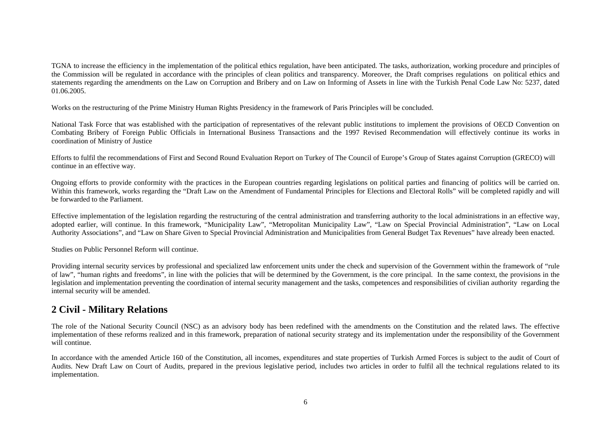TGNA to increase the efficiency in the implementation of the political ethics regulation, have been anticipated. The tasks, authorization, working procedure and principles of the Commission will be regulated in accordance with the principles of clean politics and transparency. Moreover, the Draft comprises regulations on political ethics and statements regarding the amendments on the Law on Corruption and Bribery and on Law on Informing of Assets in line with the Turkish Penal Code Law No: 5237, dated 01.06.2005.

Works on the restructuring of the Prime Ministry Human Rights Presidency in the framework of Paris Principles will be concluded.

National Task Force that was established with the participation of representatives of the relevant public institutions to implement the provisions of OECD Convention on Combating Bribery of Foreign Public Officials in International Business Transactions and the 1997 Revised Recommendation will effectively continue its works in coordination of Ministry of Justice

Efforts to fulfil the recommendations of First and Second Round Evaluation Report on Turkey of The Council of Europe's Group of States against Corruption (GRECO) will continue in an effective way.

Ongoing efforts to provide conformity with the practices in the European countries regarding legislations on political parties and financing of politics will be carried on. Within this framework, works regarding the "Draft Law on the Amendment of Fundamental Principles for Elections and Electoral Rolls" will be completed rapidly and will be forwarded to the Parliament.

Effective implementation of the legislation regarding the restructuring of the central administration and transferring authority to the local administrations in an effective way, adopted earlier, will continue. In this framework, "Municipality Law", "Metropolitan Municipality Law", "Law on Special Provincial Administration", "Law on Local Authority Associations", and "Law on Share Given to Special Provincial Administration and Municipalities from General Budget Tax Revenues" have already been enacted.

Studies on Public Personnel Reform will continue.

Providing internal security services by professional and specialized law enforcement units under the check and supervision of the Government within the framework of "rule of law", "human rights and freedoms", in line with the policies that will be determined by the Government, is the core principal. In the same context, the provisions in the legislation and implementation preventing the coordination of internal security management and the tasks, competences and responsibilities of civilian authority regarding the internal security will be amended.

#### **2 Civil - Military Relations**

The role of the National Security Council (NSC) as an advisory body has been redefined with the amendments on the Constitution and the related laws. The effective implementation of these reforms realized and in this framework, preparation of national security strategy and its implementation under the responsibility of the Government will continue.

In accordance with the amended Article 160 of the Constitution, all incomes, expenditures and state properties of Turkish Armed Forces is subject to the audit of Court of Audits. New Draft Law on Court of Audits, prepared in the previous legislative period, includes two articles in order to fulfil all the technical regulations related to its implementation.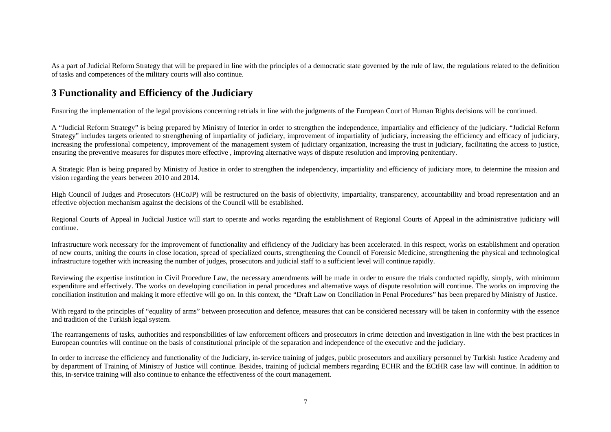As a part of Judicial Reform Strategy that will be prepared in line with the principles of a democratic state governed by the rule of law, the regulations related to the definition of tasks and competences of the military courts will also continue.

# **3 Functionality and Efficiency of the Judiciary**

Ensuring the implementation of the legal provisions concerning retrials in line with the judgments of the European Court of Human Rights decisions will be continued.

A "Judicial Reform Strategy" is being prepared by Ministry of Interior in order to strengthen the independence, impartiality and efficiency of the judiciary. "Judicial Reform Strategy" includes targets oriented to strengthening of impartiality of judiciary, improvement of impartiality of judiciary, increasing the efficiency and efficacy of judiciary, increasing the professional competency, improvement of the management system of judiciary organization, increasing the trust in judiciary, facilitating the access to justice, ensuring the preventive measures for disputes more effective , improving alternative ways of dispute resolution and improving penitentiary.

A Strategic Plan is being prepared by Ministry of Justice in order to strengthen the independency, impartiality and efficiency of judiciary more, to determine the mission and vision regarding the years between 2010 and 2014.

High Council of Judges and Prosecutors (HCoJP) will be restructured on the basis of objectivity, impartiality, transparency, accountability and broad representation and an effective objection mechanism against the decisions of the Council will be established.

Regional Courts of Appeal in Judicial Justice will start to operate and works regarding the establishment of Regional Courts of Appeal in the administrative judiciary will continue.

Infrastructure work necessary for the improvement of functionality and efficiency of the Judiciary has been accelerated. In this respect, works on establishment and operation of new courts, uniting the courts in close location, spread of specialized courts, strengthening the Council of Forensic Medicine, strengthening the physical and technological infrastructure together with increasing the number of judges, prosecutors and judicial staff to a sufficient level will continue rapidly.

Reviewing the expertise institution in Civil Procedure Law, the necessary amendments will be made in order to ensure the trials conducted rapidly, simply, with minimum expenditure and effectively. The works on developing conciliation in penal procedures and alternative ways of dispute resolution will continue. The works on improving the conciliation institution and making it more effective will go on. In this context, the "Draft Law on Conciliation in Penal Procedures" has been prepared by Ministry of Justice.

With regard to the principles of "equality of arms" between prosecution and defence, measures that can be considered necessary will be taken in conformity with the essence and tradition of the Turkish legal system.

The rearrangements of tasks, authorities and responsibilities of law enforcement officers and prosecutors in crime detection and investigation in line with the best practices in European countries will continue on the basis of constitutional principle of the separation and independence of the executive and the judiciary.

In order to increase the efficiency and functionality of the Judiciary, in-service training of judges, public prosecutors and auxiliary personnel by Turkish Justice Academy and by department of Training of Ministry of Justice will continue. Besides, training of judicial members regarding ECHR and the ECtHR case law will continue. In addition to this, in-service training will also continue to enhance the effectiveness of the court management.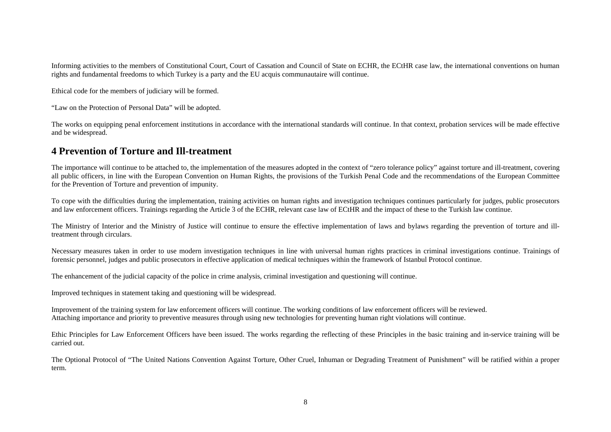Informing activities to the members of Constitutional Court, Court of Cassation and Council of State on ECHR, the ECtHR case law, the international conventions on human rights and fundamental freedoms to which Turkey is a party and the EU acquis communautaire will continue.

Ethical code for the members of judiciary will be formed.

"Law on the Protection of Personal Data" will be adopted.

The works on equipping penal enforcement institutions in accordance with the international standards will continue. In that context, probation services will be made effective and be widespread.

## **4 Prevention of Torture and Ill-treatment**

The importance will continue to be attached to, the implementation of the measures adopted in the context of "zero tolerance policy" against torture and ill-treatment, covering all public officers, in line with the European Convention on Human Rights, the provisions of the Turkish Penal Code and the recommendations of the European Committee for the Prevention of Torture and prevention of impunity.

To cope with the difficulties during the implementation, training activities on human rights and investigation techniques continues particularly for judges, public prosecutors and law enforcement officers. Trainings regarding the Article 3 of the ECHR, relevant case law of ECtHR and the impact of these to the Turkish law continue.

The Ministry of Interior and the Ministry of Justice will continue to ensure the effective implementation of laws and bylaws regarding the prevention of torture and illtreatment through circulars.

Necessary measures taken in order to use modern investigation techniques in line with universal human rights practices in criminal investigations continue. Trainings of forensic personnel, judges and public prosecutors in effective application of medical techniques within the framework of Istanbul Protocol continue.

The enhancement of the judicial capacity of the police in crime analysis, criminal investigation and questioning will continue.

Improved techniques in statement taking and questioning will be widespread.

Improvement of the training system for law enforcement officers will continue. The working conditions of law enforcement officers will be reviewed. Attaching importance and priority to preventive measures through using new technologies for preventing human right violations will continue.

Ethic Principles for Law Enforcement Officers have been issued. The works regarding the reflecting of these Principles in the basic training and in-service training will be carried out.

The Optional Protocol of "The United Nations Convention Against Torture, Other Cruel, Inhuman or Degrading Treatment of Punishment" will be ratified within a proper term.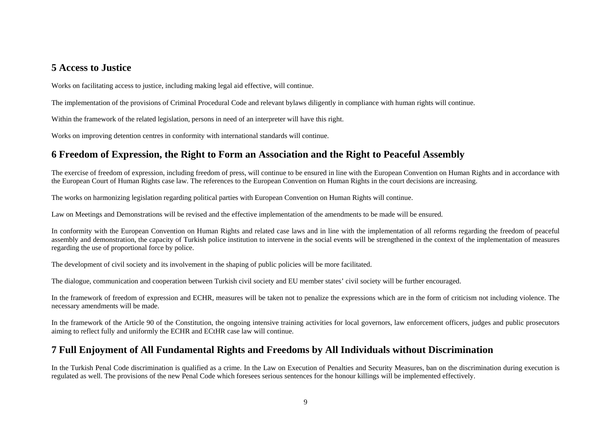#### **5 Access to Justice**

Works on facilitating access to justice, including making legal aid effective, will continue.

The implementation of the provisions of Criminal Procedural Code and relevant bylaws diligently in compliance with human rights will continue.

Within the framework of the related legislation, persons in need of an interpreter will have this right.

Works on improving detention centres in conformity with international standards will continue.

# **6 Freedom of Expression, the Right to Form an Association and the Right to Peaceful Assembly**

The exercise of freedom of expression, including freedom of press, will continue to be ensured in line with the European Convention on Human Rights and in accordance with the European Court of Human Rights case law. The references to the European Convention on Human Rights in the court decisions are increasing.

The works on harmonizing legislation regarding political parties with European Convention on Human Rights will continue.

Law on Meetings and Demonstrations will be revised and the effective implementation of the amendments to be made will be ensured.

In conformity with the European Convention on Human Rights and related case laws and in line with the implementation of all reforms regarding the freedom of peaceful assembly and demonstration, the capacity of Turkish police institution to intervene in the social events will be strengthened in the context of the implementation of measures regarding the use of proportional force by police.

The development of civil society and its involvement in the shaping of public policies will be more facilitated.

The dialogue, communication and cooperation between Turkish civil society and EU member states' civil society will be further encouraged.

In the framework of freedom of expression and ECHR, measures will be taken not to penalize the expressions which are in the form of criticism not including violence. The necessary amendments will be made.

In the framework of the Article 90 of the Constitution, the ongoing intensive training activities for local governors, law enforcement officers, judges and public prosecutors aiming to reflect fully and uniformly the ECHR and ECtHR case law will continue.

## **7 Full Enjoyment of All Fundamental Rights and Freedoms by All Individuals without Discrimination**

In the Turkish Penal Code discrimination is qualified as a crime. In the Law on Execution of Penalties and Security Measures, ban on the discrimination during execution is regulated as well. The provisions of the new Penal Code which foresees serious sentences for the honour killings will be implemented effectively.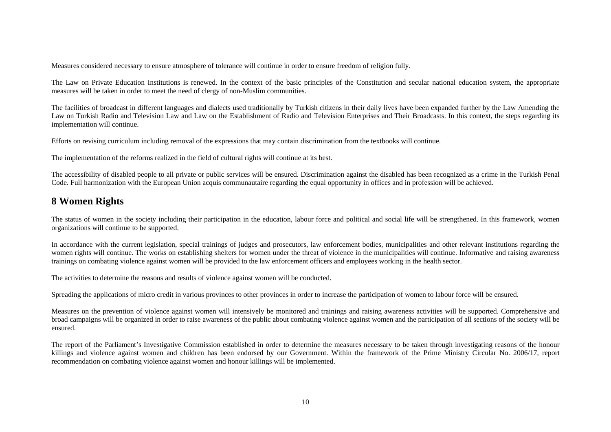Measures considered necessary to ensure atmosphere of tolerance will continue in order to ensure freedom of religion fully.

The Law on Private Education Institutions is renewed. In the context of the basic principles of the Constitution and secular national education system, the appropriate measures will be taken in order to meet the need of clergy of non-Muslim communities.

The facilities of broadcast in different languages and dialects used traditionally by Turkish citizens in their daily lives have been expanded further by the Law Amending the Law on Turkish Radio and Television Law and Law on the Establishment of Radio and Television Enterprises and Their Broadcasts. In this context, the steps regarding its implementation will continue.

Efforts on revising curriculum including removal of the expressions that may contain discrimination from the textbooks will continue.

The implementation of the reforms realized in the field of cultural rights will continue at its best.

The accessibility of disabled people to all private or public services will be ensured. Discrimination against the disabled has been recognized as a crime in the Turkish Penal Code. Full harmonization with the European Union acquis communautaire regarding the equal opportunity in offices and in profession will be achieved.

## **8 Women Rights**

The status of women in the society including their participation in the education, labour force and political and social life will be strengthened. In this framework, women organizations will continue to be supported.

In accordance with the current legislation, special trainings of judges and prosecutors, law enforcement bodies, municipalities and other relevant institutions regarding the women rights will continue. The works on establishing shelters for women under the threat of violence in the municipalities will continue. Informative and raising awareness trainings on combating violence against women will be provided to the law enforcement officers and employees working in the health sector.

The activities to determine the reasons and results of violence against women will be conducted.

Spreading the applications of micro credit in various provinces to other provinces in order to increase the participation of women to labour force will be ensured.

Measures on the prevention of violence against women will intensively be monitored and trainings and raising awareness activities will be supported. Comprehensive and broad campaigns will be organized in order to raise awareness of the public about combating violence against women and the participation of all sections of the society will be ensured.

The report of the Parliament's Investigative Commission established in order to determine the measures necessary to be taken through investigating reasons of the honour killings and violence against women and children has been endorsed by our Government. Within the framework of the Prime Ministry Circular No. 2006/17, report recommendation on combating violence against women and honour killings will be implemented.